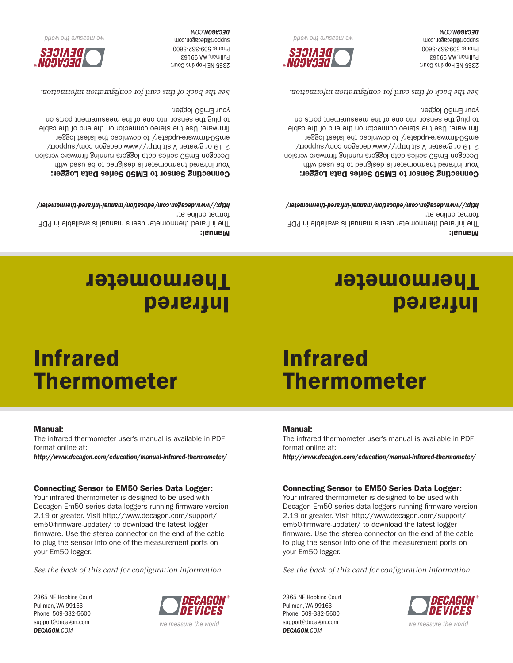2365 NE Hopkins Court Pullman, WA 99163 Phone: 509-332-5600 support@decagon.com *DECAGON.COM*



*See the back of this card for configuration information.*

Your infrared thermometer is designed to be used with Decagon Em50 series data loggers running firmware version 2.19 or greater. Visit http://www.decagon.com/support/ em50-firmware-updater/ to download the latest logger firmware. Use the stereo connector on the end of the cable to plug the sensor into one of the measurement ports on your Em50 logger.

#### Connecting Sensor to EM50 Series Data Logger:

*http://www.decagon.com/education/manual-infrared-thermometer/*

The infrared thermometer user's manual is available in PDF format online at:

### Manual:

# Infrared **Thermometer**

# Infrared Thermometer

#### 2365 NE Hopkins Court Pullman, WA 99163 Phone: 509-332-5600 support@decagon.com *DECAGON.COM*



*See the back of this card for configuration information.*

Your infrared thermometer is designed to be used with Decagon Em50 series data loggers running firmware version 2.19 or greater. Visit http://www.decagon.com/support/ em50-firmware-updater/ to download the latest logger firmware. Use the stereo connector on the end of the cable to plug the sensor into one of the measurement ports on your Em50 logger.

#### Connecting Sensor to EM50 Series Data Logger:

*http://www.decagon.com/education/manual-infrared-thermometer/*

The infrared thermometer user's manual is available in PDF format online at:

#### Manual:

### Infrared **Thermometer**

# Infrared Thermometer

#### Manual:

The infrared thermometer user's manual is available in PDF format online at:

*http://www.decagon.com/education/manual-infrared-thermometer/*

#### Connecting Sensor to EM50 Series Data Logger:

Your infrared thermometer is designed to be used with Decagon Fm50 series data loggers running firmware version 2.19 or greater. Visit http://www.decagon.com/support/ em50-firmware-updater/ to download the latest logger firmware. Use the stereo connector on the end of the cable to plug the sensor into one of the measurement ports on your Em50 logger.

*See the back of this card for configuration information.*



*DIIOM ƏYL ƏJINSEƏW ƏM* 

2365 NE Hopkins Court Pullman, WA 99163 Phone: 509-332-5600 support@decagon.com **DECAGON.COM** 

*http://www.decagon.com/education/manual-infrared-thermometer/* Connecting Sensor to EM50 Series Data Logger: Your infrared thermometer is designed to be used with Decagon Em50 series data loggers running firmware version 2.19 or greater. Visit http://www.decagon.com/support/

2365 NE Hopkins Court Pullman, WA 99163 Phone: 509-332-5600 support@decagon.com **DECAGON.COM** 

Manual:

format online at:

em50-firmware-updater/ to download the latest logger firmware. Use the stereo connector on the end of the cable to plug the sensor into one of the measurement ports on your Em50 logger.

*See the back of this card for configuration information.*

The infrared thermometer user's manual is available in PDF



*DIOM auseau aM*